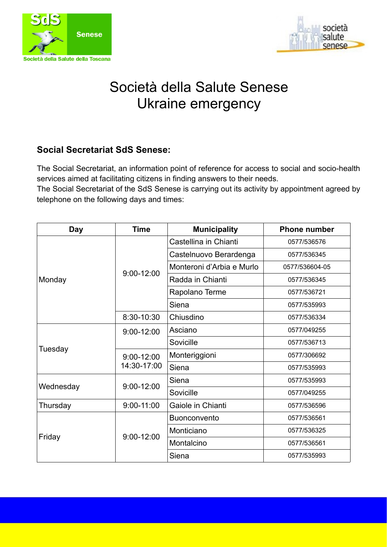



# Società della Salute Senese Ukraine emergency

## **Social Secretariat SdS Senese:**

The Social Secretariat, an information point of reference for access to social and socio-health services aimed at facilitating citizens in finding answers to their needs.

The Social Secretariat of the SdS Senese is carrying out its activity by appointment agreed by telephone on the following days and times:

| <b>Day</b> | <b>Time</b>                   | <b>Municipality</b>       | <b>Phone number</b> |
|------------|-------------------------------|---------------------------|---------------------|
| Monday     | $9:00 - 12:00$                | Castellina in Chianti     | 0577/536576         |
|            |                               | Castelnuovo Berardenga    | 0577/536345         |
|            |                               | Monteroni d'Arbia e Murlo | 0577/536604-05      |
|            |                               | Radda in Chianti          | 0577/536345         |
|            |                               | Rapolano Terme            | 0577/536721         |
|            |                               | Siena                     | 0577/535993         |
|            | 8:30-10:30                    | Chiusdino                 | 0577/536334         |
| Tuesday    | $9:00 - 12:00$                | Asciano                   | 0577/049255         |
|            |                               | Sovicille                 | 0577/536713         |
|            | $9:00 - 12:00$<br>14:30-17:00 | Monteriggioni             | 0577/306692         |
|            |                               | Siena                     | 0577/535993         |
| Wednesday  | $9:00 - 12:00$                | Siena                     | 0577/535993         |
|            |                               | Sovicille                 | 0577/049255         |
| Thursday   | $9:00 - 11:00$                | Gaiole in Chianti         | 0577/536596         |
| Friday     | $9:00 - 12:00$                | <b>Buonconvento</b>       | 0577/536561         |
|            |                               | Monticiano                | 0577/536325         |
|            |                               | Montalcino                | 0577/536561         |
|            |                               | Siena                     | 0577/535993         |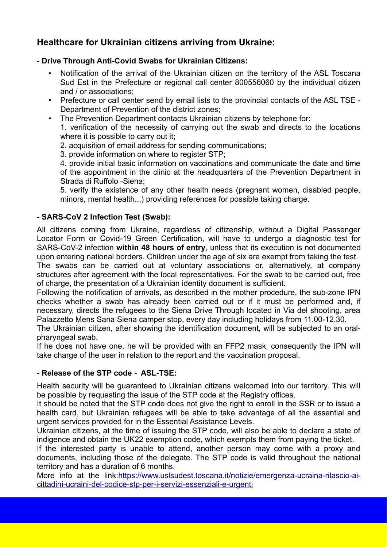# **Healthcare for Ukrainian citizens arriving from Ukraine:**

## **- Drive Through Anti-Covid Swabs for Ukrainian Citizens:**

- Notification of the arrival of the Ukrainian citizen on the territory of the ASL Toscana Sud Est in the Prefecture or regional call center 800556060 by the individual citizen and / or associations;
- Prefecture or call center send by email lists to the provincial contacts of the ASL TSE Department of Prevention of the district zones;
- The Prevention Department contacts Ukrainian citizens by telephone for:

1. verification of the necessity of carrying out the swab and directs to the locations where it is possible to carry out it;

- 2. acquisition of email address for sending communications;
- 3. provide information on where to register STP;

4. provide initial basic information on vaccinations and communicate the date and time of the appointment in the clinic at the headquarters of the Prevention Department in Strada di Ruffolo -Siena;

5. verify the existence of any other health needs (pregnant women, disabled people, minors, mental health...) providing references for possible taking charge.

## **- SARS-CoV 2 Infection Test (Swab):**

All citizens coming from Ukraine, regardless of citizenship, without a Digital Passenger Locator Form or Covid-19 Green Certification, will have to undergo a diagnostic test for SARS-CoV-2 infection **within 48 hours of entry**, unless that its execution is not documented upon entering national borders. Children under the age of six are exempt from taking the test.

The swabs can be carried out at voluntary associations or, alternatively, at company structures after agreement with the local representatives. For the swab to be carried out, free of charge, the presentation of a Ukrainian identity document is sufficient.

Following the notification of arrivals, as described in the mother procedure, the sub-zone IPN checks whether a swab has already been carried out or if it must be performed and, if necessary, directs the refugees to the Siena Drive Through located in Via del shooting, area Palazzetto Mens Sana Siena camper stop, every day including holidays from 11.00-12.30.

The Ukrainian citizen, after showing the identification document, will be subjected to an oralpharyngeal swab.

If he does not have one, he will be provided with an FFP2 mask, consequently the IPN will take charge of the user in relation to the report and the vaccination proposal.

## **- Release of the STP code - ASL-TSE:**

Health security will be guaranteed to Ukrainian citizens welcomed into our territory. This will be possible by requesting the issue of the STP code at the Registry offices.

It should be noted that the STP code does not give the right to enroll in the SSR or to issue a health card, but Ukrainian refugees will be able to take advantage of all the essential and urgent services provided for in the Essential Assistance Levels.

Ukrainian citizens, at the time of issuing the STP code, will also be able to declare a state of indigence and obtain the UK22 exemption code, which exempts them from paying the ticket.

If the interested party is unable to attend, another person may come with a proxy and documents, including those of the delegate. The STP code is valid throughout the national territory and has a duration of 6 months.

More info at the link:[https://www.uslsudest.toscana.it/notizie/emergenza-ucraina-rilascio-ai](https://www.uslsudest.toscana.it/notizie/emergenza-ucraina-rilascio-ai-cittadini-ucraini-del-codice-stp-per-i-servizi-essenziali-e-urgenti)[cittadini-ucraini-del-codice-stp-per-i-servizi-essenziali-e-urgenti](https://www.uslsudest.toscana.it/notizie/emergenza-ucraina-rilascio-ai-cittadini-ucraini-del-codice-stp-per-i-servizi-essenziali-e-urgenti)